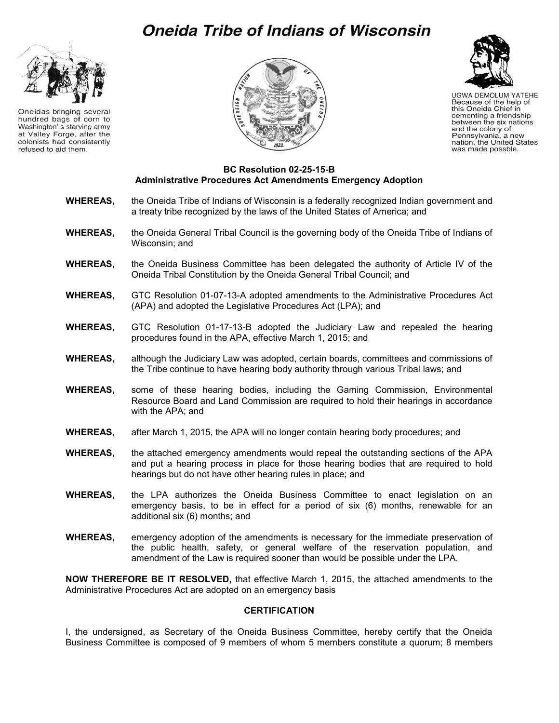# **Oneida Tribe of Indians of Wisconsin**



Oneidas bringing several hundred bags of corn to Washington's starving army at Valley Forge, after the colonists had consistently refused to aid them.





**UGWA DEMOLUM YATEHE** Because of the help of this Oneida Chief in cementing a friendship between the six nations and the colony of Pennsylvania, a new nation, the United States was made possble.

#### **BC Resolution 02-25-15-B Administrative Procedures Act Amendments Emergency Adoption**

- **WHEREAS,** the Oneida Tribe of Indians of Wisconsin is a federally recognized Indian government and a treaty tribe recognized by the laws of the United States of America; and
- **WHEREAS,** the Oneida General Tribal Council is the governing body of the Oneida Tribe of Indians of Wisconsin; and
- **WHEREAS,** the Oneida Business Committee has been delegated the authority of Article IV of the Oneida Tribal Constitution by the Oneida General Tribal Council; and
- **WHEREAS,** GTC Resolution 01-07-13-A adopted amendments to the Administrative Procedures Act (APA) and adopted the Legislative Procedures Act (LPA); and
- **WHEREAS,** GTC Resolution 01-17-13-B adopted the Judiciary Law and repealed the hearing procedures found in the APA, effective March 1, 2015; and
- **WHEREAS,** although the Judiciary Law was adopted, certain boards, committees and commissions of the Tribe continue to have hearing body authority through various Tribal laws; and
- **WHEREAS,** some of these hearing bodies, including the Gaming Commission, Environmental Resource Board and Land Commission are required to hold their hearings in accordance with the APA; and
- **WHEREAS,** after March 1, 2015, the APA will no longer contain hearing body procedures; and
- **WHEREAS,** the attached emergency amendments would repeal the outstanding sections of the APA and put a hearing process in place for those hearing bodies that are required to hold hearings but do not have other hearing rules in place; and
- **WHEREAS,** the LPA authorizes the Oneida Business Committee to enact legislation on an emergency basis, to be in effect for a period of six (6) months, renewable for an additional six (6) months; and
- **WHEREAS,** emergency adoption of the amendments is necessary for the immediate preservation of the public health, safety, or general welfare of the reservation population, and amendment of the Law is required sooner than would be possible under the LPA.

**NOW THEREFORE BE IT RESOLVED,** that effective March 1, 2015, the attached amendments to the Administrative Procedures Act are adopted on an emergency basis

#### **CERTIFICATION**

I, the undersigned, as Secretary of the Oneida Business Committee, hereby certify that the Oneida Business Committee is composed of 9 members of whom 5 members constitute a quorum; 8 members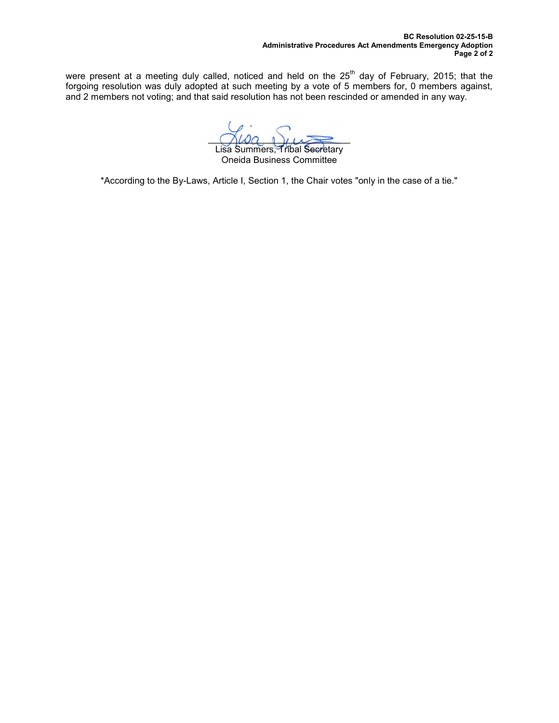were present at a meeting duly called, noticed and held on the  $25<sup>th</sup>$  day of February, 2015; that the forgoing resolution was duly adopted at such meeting by a vote of 5 members for, 0 members against, and 2 members not voting; and that said resolution has not been rescinded or amended in any way.

 $\bigcap \omega a \cap \mu \implies$ Lisa Summers, Tribal Secretary

Oneida Business Committee

\*According to the By-Laws, Article I, Section 1, the Chair votes "only in the case of a tie."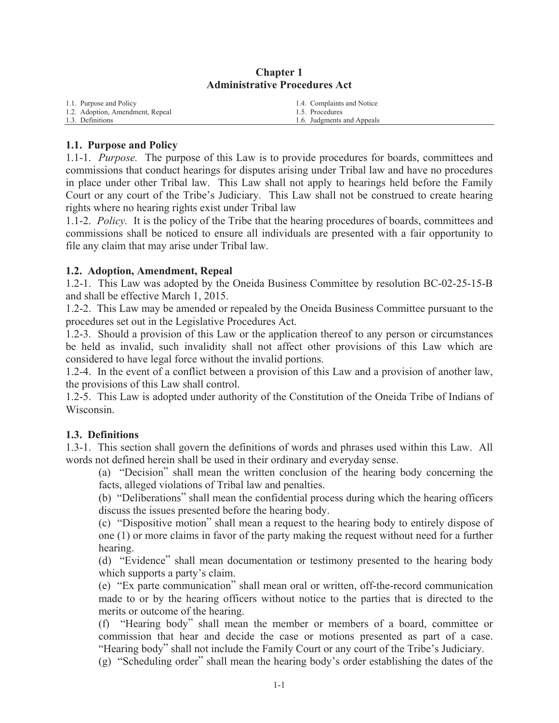| 1.1. Purpose and Policy          | 1.4. Complaints and Notice |
|----------------------------------|----------------------------|
| 1.2. Adoption, Amendment, Repeal | 1.5. Procedures            |
| 1.3. Definitions                 | 1.6. Judgments and Appeals |

#### **Chapter 1 Administrative Procedures Act**

#### **1.1. Purpose and Policy**

1.1-1. *Purpose.* The purpose of this Law is to provide procedures for boards, committees and commissions that conduct hearings for disputes arising under Tribal law and have no procedures in place under other Tribal law. This Law shall not apply to hearings held before the Family Court or any court of the Tribe's Judiciary. This Law shall not be construed to create hearing rights where no hearing rights exist under Tribal law

1.1-2. *Policy.* It is the policy of the Tribe that the hearing procedures of boards, committees and commissions shall be noticed to ensure all individuals are presented with a fair opportunity to file any claim that may arise under Tribal law.

#### **1.2. Adoption, Amendment, Repeal**

1.2-1. This Law was adopted by the Oneida Business Committee by resolution BC-02-25-15-B and shall be effective March 1, 2015.

1.2-2. This Law may be amended or repealed by the Oneida Business Committee pursuant to the procedures set out in the Legislative Procedures Act.

1.2-3. Should a provision of this Law or the application thereof to any person or circumstances be held as invalid, such invalidity shall not affect other provisions of this Law which are considered to have legal force without the invalid portions.

1.2-4. In the event of a conflict between a provision of this Law and a provision of another law, the provisions of this Law shall control.

1.2-5. This Law is adopted under authority of the Constitution of the Oneida Tribe of Indians of Wisconsin.

#### **1.3. Definitions**

1.3-1. This section shall govern the definitions of words and phrases used within this Law. All words not defined herein shall be used in their ordinary and everyday sense.

(a) "Decision" shall mean the written conclusion of the hearing body concerning the facts, alleged violations of Tribal law and penalties.

(b) "Deliberations" shall mean the confidential process during which the hearing officers discuss the issues presented before the hearing body.

(c) "Dispositive motion" shall mean a request to the hearing body to entirely dispose of one (1) or more claims in favor of the party making the request without need for a further hearing.

(d) "Evidence" shall mean documentation or testimony presented to the hearing body which supports a party's claim.

(e) "Ex parte communication" shall mean oral or written, off-the-record communication made to or by the hearing officers without notice to the parties that is directed to the merits or outcome of the hearing.

(f) "Hearing body" shall mean the member or members of a board, committee or commission that hear and decide the case or motions presented as part of a case. "Hearing body" shall not include the Family Court or any court of the Tribe's Judiciary.

(g) "Scheduling order" shall mean the hearing body's order establishing the dates of the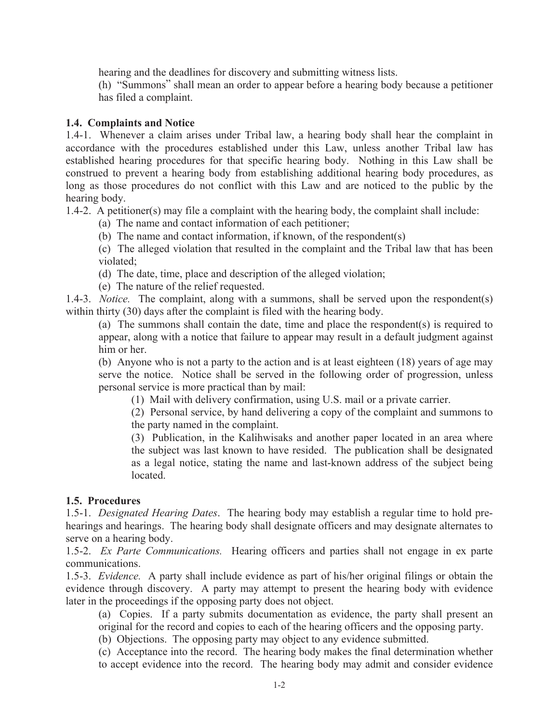hearing and the deadlines for discovery and submitting witness lists.

(h) "Summons" shall mean an order to appear before a hearing body because a petitioner has filed a complaint.

## **1.4. Complaints and Notice**

1.4-1. Whenever a claim arises under Tribal law, a hearing body shall hear the complaint in accordance with the procedures established under this Law, unless another Tribal law has established hearing procedures for that specific hearing body. Nothing in this Law shall be construed to prevent a hearing body from establishing additional hearing body procedures, as long as those procedures do not conflict with this Law and are noticed to the public by the hearing body.

1.4-2. A petitioner(s) may file a complaint with the hearing body, the complaint shall include:

(a) The name and contact information of each petitioner;

(b) The name and contact information, if known, of the respondent(s)

(c) The alleged violation that resulted in the complaint and the Tribal law that has been violated;

(d) The date, time, place and description of the alleged violation;

(e) The nature of the relief requested.

1.4-3. *Notice.* The complaint, along with a summons, shall be served upon the respondent(s) within thirty (30) days after the complaint is filed with the hearing body.

(a) The summons shall contain the date, time and place the respondent(s) is required to appear, along with a notice that failure to appear may result in a default judgment against him or her.

(b) Anyone who is not a party to the action and is at least eighteen (18) years of age may serve the notice. Notice shall be served in the following order of progression, unless personal service is more practical than by mail:

(1) Mail with delivery confirmation, using U.S. mail or a private carrier.

(2) Personal service, by hand delivering a copy of the complaint and summons to the party named in the complaint.

(3) Publication, in the Kalihwisaks and another paper located in an area where the subject was last known to have resided. The publication shall be designated as a legal notice, stating the name and last-known address of the subject being **located** 

#### **1.5. Procedures**

1.5-1. *Designated Hearing Dates*. The hearing body may establish a regular time to hold prehearings and hearings. The hearing body shall designate officers and may designate alternates to serve on a hearing body.

1.5-2. *Ex Parte Communications.* Hearing officers and parties shall not engage in ex parte communications.

1.5-3. *Evidence.* A party shall include evidence as part of his/her original filings or obtain the evidence through discovery. A party may attempt to present the hearing body with evidence later in the proceedings if the opposing party does not object.

(a) Copies. If a party submits documentation as evidence, the party shall present an original for the record and copies to each of the hearing officers and the opposing party.

(b) Objections. The opposing party may object to any evidence submitted.

(c) Acceptance into the record. The hearing body makes the final determination whether to accept evidence into the record. The hearing body may admit and consider evidence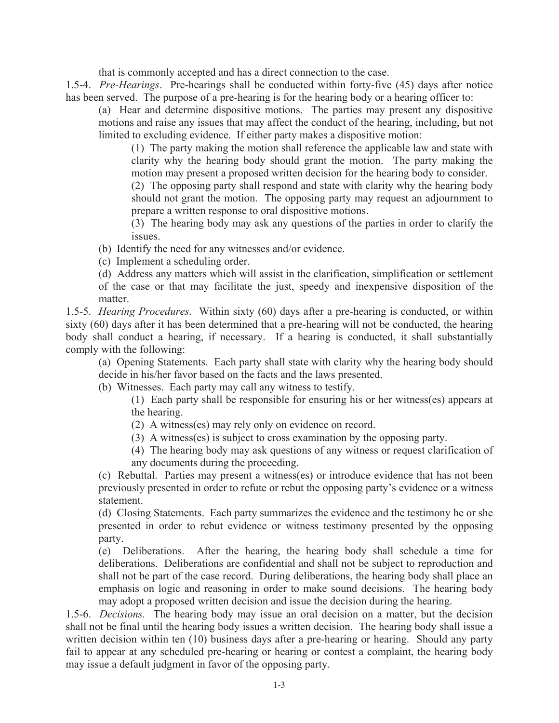that is commonly accepted and has a direct connection to the case.

1.5-4. *Pre-Hearings*. Pre-hearings shall be conducted within forty-five (45) days after notice has been served. The purpose of a pre-hearing is for the hearing body or a hearing officer to:

(a) Hear and determine dispositive motions. The parties may present any dispositive motions and raise any issues that may affect the conduct of the hearing, including, but not limited to excluding evidence. If either party makes a dispositive motion:

(1) The party making the motion shall reference the applicable law and state with clarity why the hearing body should grant the motion. The party making the motion may present a proposed written decision for the hearing body to consider.

(2) The opposing party shall respond and state with clarity why the hearing body should not grant the motion. The opposing party may request an adjournment to prepare a written response to oral dispositive motions.

(3) The hearing body may ask any questions of the parties in order to clarify the issues.

- (b) Identify the need for any witnesses and/or evidence.
- (c) Implement a scheduling order.
- (d) Address any matters which will assist in the clarification, simplification or settlement of the case or that may facilitate the just, speedy and inexpensive disposition of the matter.

1.5-5. *Hearing Procedures*. Within sixty (60) days after a pre-hearing is conducted, or within sixty (60) days after it has been determined that a pre-hearing will not be conducted, the hearing body shall conduct a hearing, if necessary. If a hearing is conducted, it shall substantially comply with the following:

(a) Opening Statements. Each party shall state with clarity why the hearing body should decide in his/her favor based on the facts and the laws presented.

(b) Witnesses. Each party may call any witness to testify.

(1) Each party shall be responsible for ensuring his or her witness(es) appears at the hearing.

- (2) A witness(es) may rely only on evidence on record.
- (3) A witness(es) is subject to cross examination by the opposing party.

(4) The hearing body may ask questions of any witness or request clarification of any documents during the proceeding.

(c) Rebuttal. Parties may present a witness(es) or introduce evidence that has not been previously presented in order to refute or rebut the opposing party's evidence or a witness statement.

(d) Closing Statements. Each party summarizes the evidence and the testimony he or she presented in order to rebut evidence or witness testimony presented by the opposing party.

(e) Deliberations. After the hearing, the hearing body shall schedule a time for deliberations. Deliberations are confidential and shall not be subject to reproduction and shall not be part of the case record. During deliberations, the hearing body shall place an emphasis on logic and reasoning in order to make sound decisions. The hearing body may adopt a proposed written decision and issue the decision during the hearing.

1.5-6. *Decisions.* The hearing body may issue an oral decision on a matter, but the decision shall not be final until the hearing body issues a written decision. The hearing body shall issue a written decision within ten (10) business days after a pre-hearing or hearing. Should any party fail to appear at any scheduled pre-hearing or hearing or contest a complaint, the hearing body may issue a default judgment in favor of the opposing party.